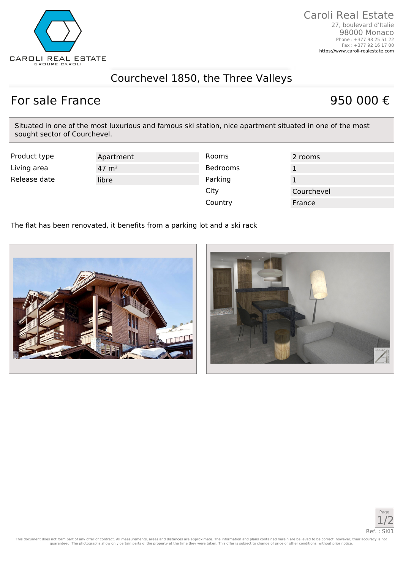

## Courchevel 1850, the Three Valleys

## For sale France 950 000  $\epsilon$

Situated in one of the most luxurious and famous ski station, nice apartment situated in one of the most sought sector of Courchevel.

| Product type | Apartment          | Rooms    | 2 rooms    |
|--------------|--------------------|----------|------------|
| Living area  | $47 \; \text{m}^2$ | Bedrooms |            |
| Release date | libre              | Parking  |            |
|              |                    | City     | Courchevel |
|              |                    | Country  | France     |

The flat has been renovated, it benefits from a parking lot and a ski rack







This document does not form part of any offer or contract. All measurements, areas and distances are approximate. The information and plans contained herein are believed to be correct, however, their accuracy is not<br>guaran